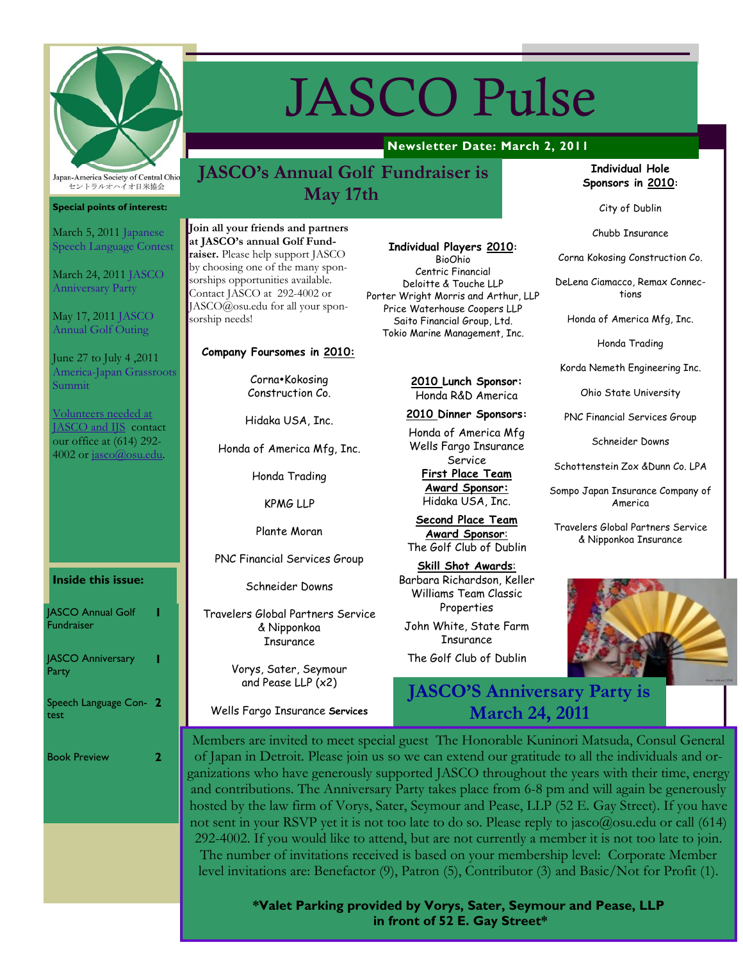

**Special points of interest:**

March 5, 2011 Japanese Speech Language Contest

March 24, 2011 JASCO Anniversary Party

May 17, 2011 JASCO Annual Golf Outing

June 27 to July 4 ,2011 America-Japan Grassroots

Volunteers needed at JASCO and IJS contact our office at (614) 292- 4002 or jasco@osu.edu.

Summit

# JASCO Pulse

# **Newsletter Date: March 2, 2011**

# **JASCO's Annual Golf Fundraiser is May 17th**

Join all your friends and partners **at JASCO's annual Golf Fundraiser.** Please help support JASCO by choosing one of the many sponsorships opportunities available. Contact JASCO at 292-4002 or JASCO@osu.edu for all your sponsorship needs!

#### **Company Foursomes in 2010:**

Corna•Kokosing Construction Co.

Hidaka USA, Inc.

Honda of America Mfg, Inc.

Honda Trading

KPMG LLP

Plante Moran

PNC Financial Services Group

Schneider Downs

Travelers Global Partners Service & Nipponkoa **Insurance** 

> Vorys, Sater, Seymour and Pease LLP (x2)

Wells Fargo Insurance **Services** 

## **Individual Players 2010:**

BioOhio Centric Financial Deloitte & Touche LLP Porter Wright Morris and Arthur, LLP Price Waterhouse Coopers LLP Saito Financial Group, Ltd. Tokio Marine Management, Inc.

#### **2010 Lunch Sponsor:**  Honda R&D America

**2010 Dinner Sponsors:**

Honda of America Mfg Wells Fargo Insurance Service

**First Place Team Award Sponsor:** Hidaka USA, Inc.

**Second Place Team Award Sponsor**: The Golf Club of Dublin

**Skill Shot Awards**: Barbara Richardson, Keller Williams Team Classic Properties

John White, State Farm Insurance

The Golf Club of Dublin

# **JASCO'S Anniversary Party is March 24, 2011**

**Individual Hole Sponsors in 2010:** 

City of Dublin

Chubb Insurance

Corna Kokosing Construction Co.

DeLena Ciamacco, Remax Connections

Honda of America Mfg, Inc.

Honda Trading

Korda Nemeth Engineering Inc.

Ohio State University

PNC Financial Services Group

Schneider Downs

Schottenstein Zox &Dunn Co. LPA

Sompo Japan Insurance Company of America

Travelers Global Partners Service & Nipponkoa Insurance



Members are invited to meet special guest The Honorable Kuninori Matsuda, Consul General of Japan in Detroit. Please join us so we can extend our gratitude to all the individuals and organizations who have generously supported JASCO throughout the years with their time, energy and contributions. The Anniversary Party takes place from 6-8 pm and will again be generously hosted by the law firm of Vorys, Sater, Seymour and Pease, LLP (52 E. Gay Street). If you have not sent in your RSVP yet it is not too late to do so. Please reply to jasco@osu.edu or call (614) 292-4002. If you would like to attend, but are not currently a member it is not too late to join. The number of invitations received is based on your membership level: Corporate Member level invitations are: Benefactor (9), Patron (5), Contributor (3) and Basic/Not for Profit (1).

> **\*Valet Parking provided by Vorys, Sater, Seymour and Pease, LLP in front of 52 E. Gay Street\***

# **Inside this issue:**

| <b>JASCO Annual Golf</b><br><b>Fundraiser</b> |   |
|-----------------------------------------------|---|
| <b>JASCO Anniversary</b><br>Party             |   |
| Speech Language Con- 2<br>test                |   |
| <b>Book Preview</b>                           | 2 |